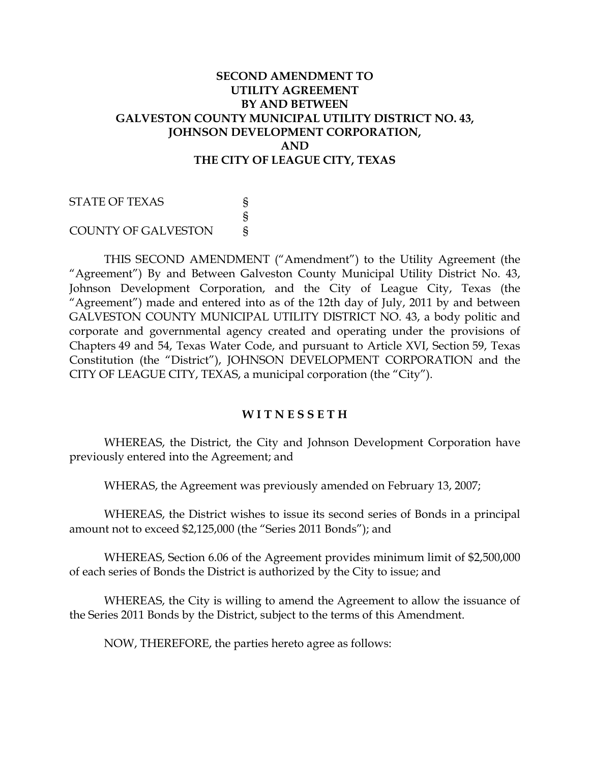#### **SECOND AMENDMENT TO UTILITY AGREEMENT BY AND BETWEEN GALVESTON COUNTY MUNICIPAL UTILITY DISTRICT NO. 43, JOHNSON DEVELOPMENT CORPORATION, AND THE CITY OF LEAGUE CITY, TEXAS**

STATE OF TEXAS S § COUNTY OF GALVESTON §

THIS SECOND AMENDMENT ("Amendment") to the Utility Agreement (the "Agreement") By and Between Galveston County Municipal Utility District No. 43, Johnson Development Corporation, and the City of League City, Texas (the "Agreement") made and entered into as of the 12th day of July, 2011 by and between GALVESTON COUNTY MUNICIPAL UTILITY DISTRICT NO. 43, a body politic and corporate and governmental agency created and operating under the provisions of Chapters 49 and 54, Texas Water Code, and pursuant to Article XVI, Section 59, Texas Constitution (the "District"), JOHNSON DEVELOPMENT CORPORATION and the CITY OF LEAGUE CITY, TEXAS, a municipal corporation (the "City").

#### **W I T N E S S E T H**

WHEREAS, the District, the City and Johnson Development Corporation have previously entered into the Agreement; and

WHERAS, the Agreement was previously amended on February 13, 2007;

WHEREAS, the District wishes to issue its second series of Bonds in a principal amount not to exceed \$2,125,000 (the "Series 2011 Bonds"); and

WHEREAS, Section 6.06 of the Agreement provides minimum limit of \$2,500,000 of each series of Bonds the District is authorized by the City to issue; and

WHEREAS, the City is willing to amend the Agreement to allow the issuance of the Series 2011 Bonds by the District, subject to the terms of this Amendment.

NOW, THEREFORE, the parties hereto agree as follows: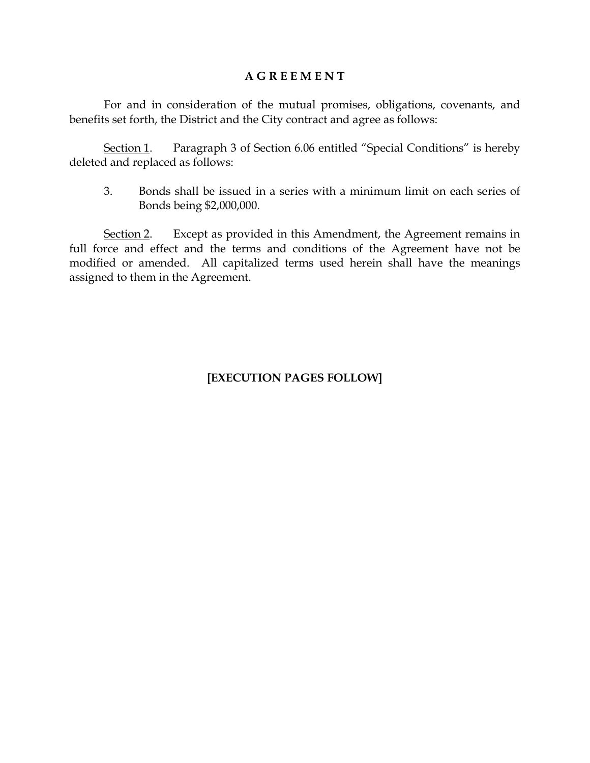#### **A G R E E M E N T**

For and in consideration of the mutual promises, obligations, covenants, and benefits set forth, the District and the City contract and agree as follows:

Section 1. Paragraph 3 of Section 6.06 entitled "Special Conditions" is hereby deleted and replaced as follows:

3. Bonds shall be issued in a series with a minimum limit on each series of Bonds being \$2,000,000.

Section 2. Except as provided in this Amendment, the Agreement remains in full force and effect and the terms and conditions of the Agreement have not be modified or amended. All capitalized terms used herein shall have the meanings assigned to them in the Agreement.

# **[EXECUTION PAGES FOLLOW]**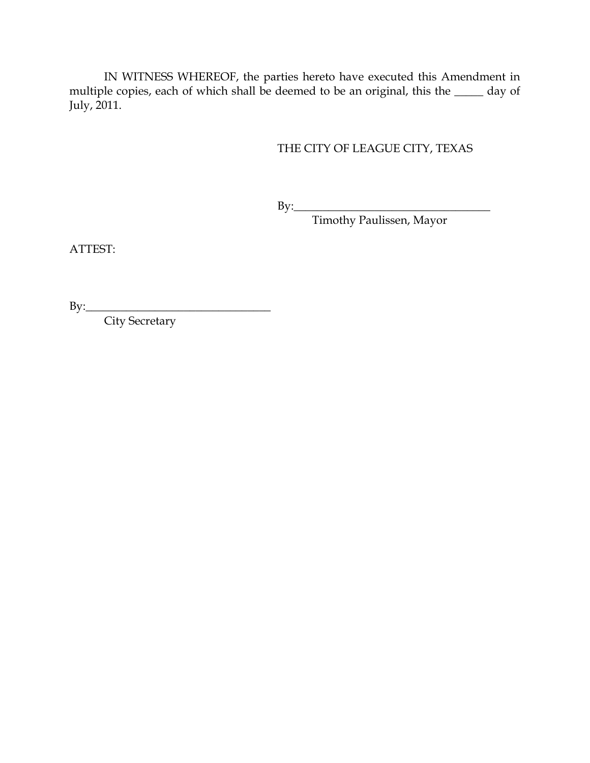IN WITNESS WHEREOF, the parties hereto have executed this Amendment in multiple copies, each of which shall be deemed to be an original, this the \_\_\_\_\_ day of July, 2011.

# THE CITY OF LEAGUE CITY, TEXAS

By:\_\_\_\_\_\_\_\_\_\_\_\_\_\_\_\_\_\_\_\_\_\_\_\_\_\_\_\_\_\_\_\_\_\_

Timothy Paulissen, Mayor

ATTEST:

By:\_\_\_\_\_\_\_\_\_\_\_\_\_\_\_\_\_\_\_\_\_\_\_\_\_\_\_\_\_\_\_\_

City Secretary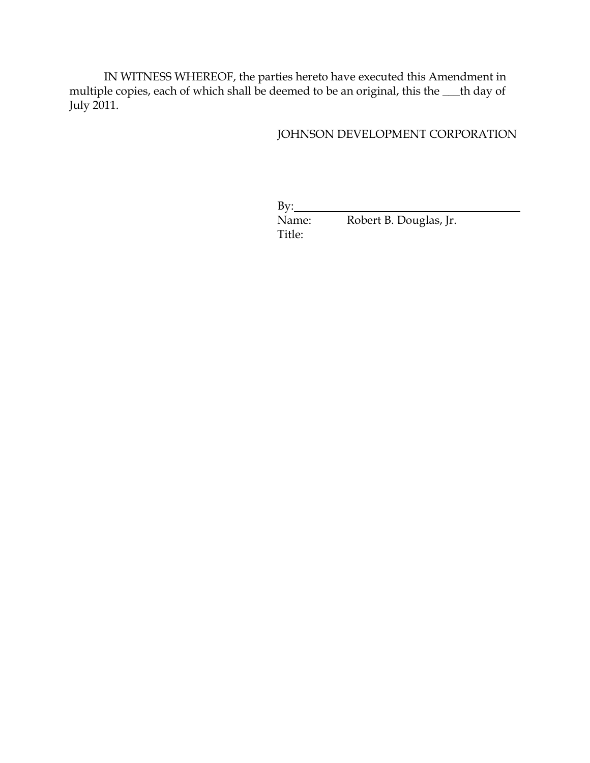IN WITNESS WHEREOF, the parties hereto have executed this Amendment in multiple copies, each of which shall be deemed to be an original, this the **\_\_\_**th day of July 2011.

#### JOHNSON DEVELOPMENT CORPORATION

| $Bv$ : |                        |  |
|--------|------------------------|--|
| Name:  | Robert B. Douglas, Jr. |  |
| Title: |                        |  |